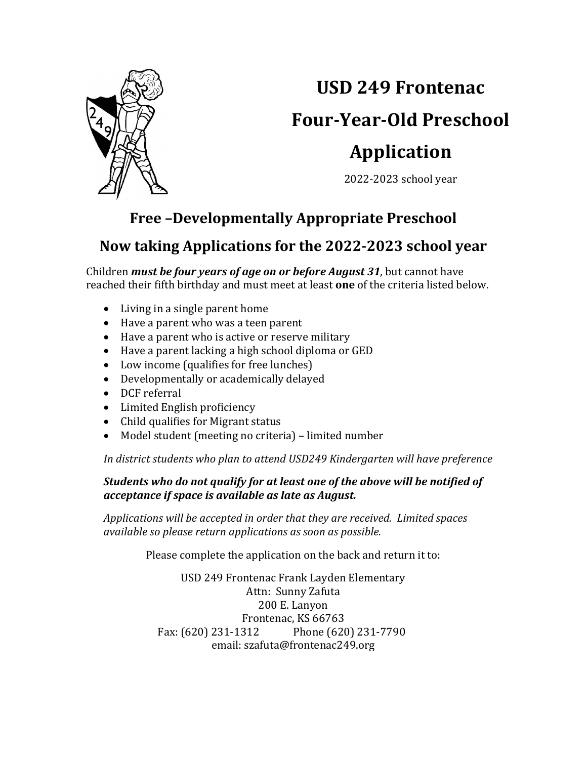

## **USD 249 Frontenac**

### **Four-Year-Old Preschool**

# **Application**

2022-2023 school year

### **Free -Developmentally Appropriate Preschool**

### **Now taking Applications for the 2022-2023 school year**

Children *must be four years of age on or before August 31*, but cannot have reached their fifth birthday and must meet at least **one** of the criteria listed below.

- Living in a single parent home
- Have a parent who was a teen parent
- Have a parent who is active or reserve military
- Have a parent lacking a high school diploma or GED
- Low income (qualifies for free lunches)
- Developmentally or academically delayed
- DCF referral
- Limited English proficiency
- Child qualifies for Migrant status
- Model student (meeting no criteria) limited number

In district students who plan to attend USD249 Kindergarten will have preference

#### *Students* who do not qualify for at least one of the above will be notified of *acceptance if space is available as late as August.*

*Applications will be accepted in order that they are received. Limited spaces available so please return applications as soon as possible.* 

Please complete the application on the back and return it to:

USD 249 Frontenac Frank Layden Elementary Attn: Sunny Zafuta 200 E. Lanyon Frontenac, KS 66763 Fax: (620) 231-1312 Phone (620) 231-7790 email: szafuta@frontenac249.org